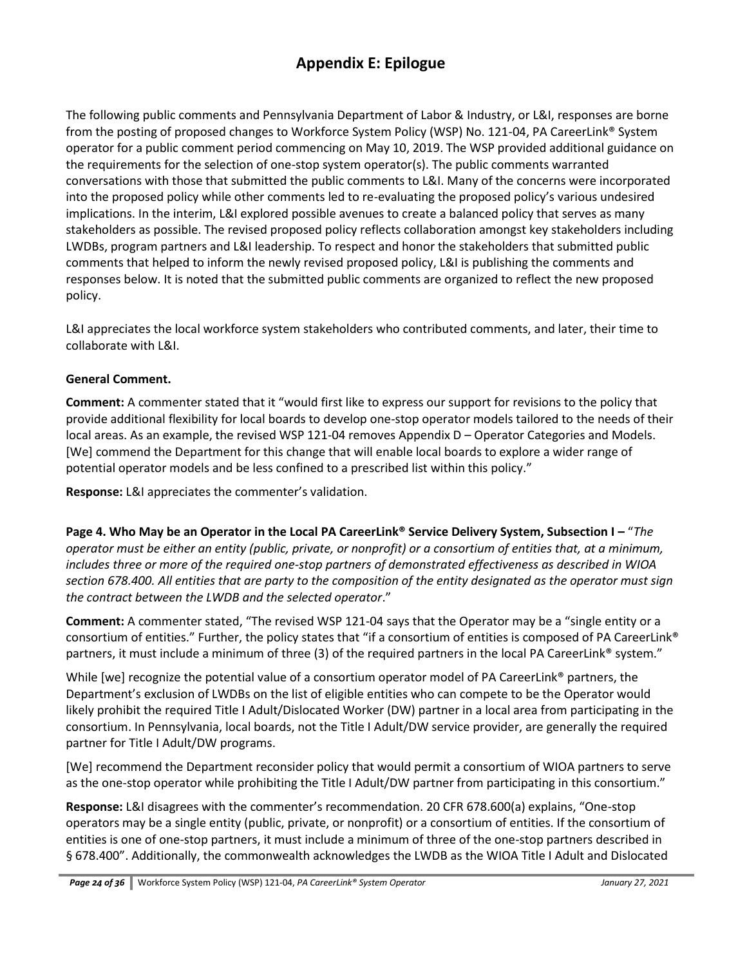The following public comments and Pennsylvania Department of Labor & Industry, or L&I, responses are borne from the posting of proposed changes to Workforce System Policy (WSP) No. 121-04, PA CareerLink® System operator for a public comment period commencing on May 10, 2019. The WSP provided additional guidance on the requirements for the selection of one-stop system operator(s). The public comments warranted conversations with those that submitted the public comments to L&I. Many of the concerns were incorporated into the proposed policy while other comments led to re-evaluating the proposed policy's various undesired implications. In the interim, L&I explored possible avenues to create a balanced policy that serves as many stakeholders as possible. The revised proposed policy reflects collaboration amongst key stakeholders including LWDBs, program partners and L&I leadership. To respect and honor the stakeholders that submitted public comments that helped to inform the newly revised proposed policy, L&I is publishing the comments and responses below. It is noted that the submitted public comments are organized to reflect the new proposed policy.

L&I appreciates the local workforce system stakeholders who contributed comments, and later, their time to collaborate with L&I.

#### **General Comment.**

**Comment:** A commenter stated that it "would first like to express our support for revisions to the policy that provide additional flexibility for local boards to develop one-stop operator models tailored to the needs of their local areas. As an example, the revised WSP 121-04 removes Appendix D – Operator Categories and Models. [We] commend the Department for this change that will enable local boards to explore a wider range of potential operator models and be less confined to a prescribed list within this policy."

**Response:** L&I appreciates the commenter's validation.

**Page 4. Who May be an Operator in the Local PA CareerLink® Service Delivery System, Subsection I – "The** *operator must be either an entity (public, private, or nonprofit) or a consortium of entities that, at a minimum, includes three or more of the required one‐stop partners of demonstrated effectiveness as described in WIOA section 678.400. All entities that are party to the composition of the entity designated as the operator must sign the contract between the LWDB and the selected operator*."

**Comment:** A commenter stated, "The revised WSP 121-04 says that the Operator may be a "single entity or a consortium of entities." Further, the policy states that "if a consortium of entities is composed of PA CareerLink® partners, it must include a minimum of three (3) of the required partners in the local PA CareerLink® system."

While [we] recognize the potential value of a consortium operator model of PA CareerLink® partners, the Department's exclusion of LWDBs on the list of eligible entities who can compete to be the Operator would likely prohibit the required Title I Adult/Dislocated Worker (DW) partner in a local area from participating in the consortium. In Pennsylvania, local boards, not the Title I Adult/DW service provider, are generally the required partner for Title I Adult/DW programs.

[We] recommend the Department reconsider policy that would permit a consortium of WIOA partners to serve as the one-stop operator while prohibiting the Title I Adult/DW partner from participating in this consortium."

**Response:** L&I disagrees with the commenter's recommendation. 20 CFR 678.600(a) explains, "One-stop operators may be a single entity (public, private, or nonprofit) or a consortium of entities. If the consortium of entities is one of one-stop partners, it must include a minimum of three of the one-stop partners described in § 678.400". Additionally, the commonwealth acknowledges the LWDB as the WIOA Title I Adult and Dislocated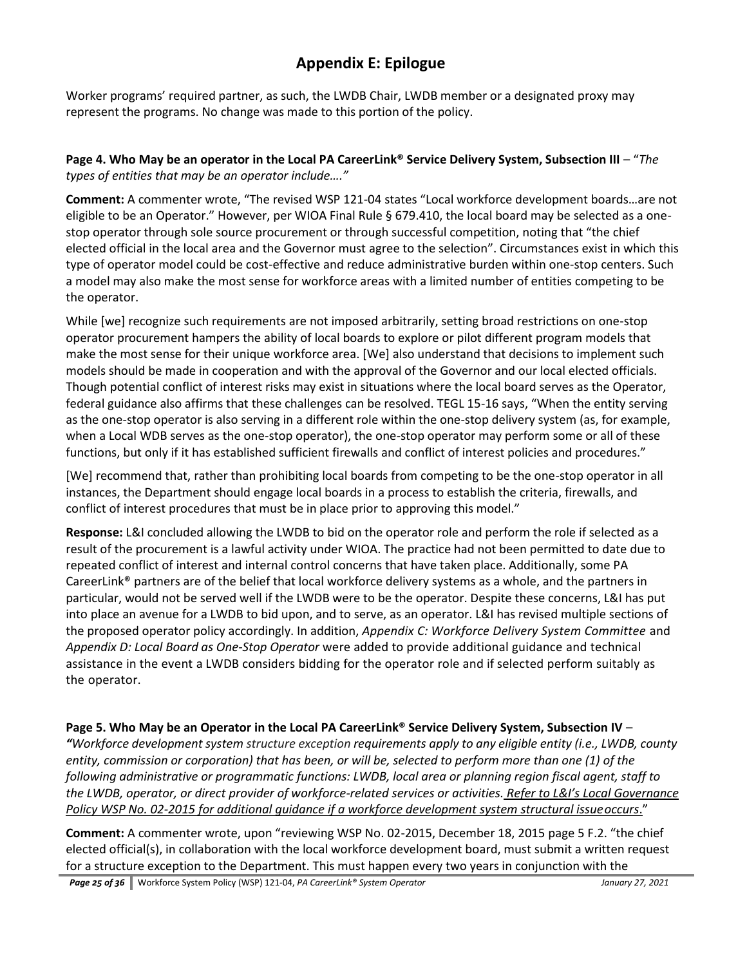Worker programs' required partner, as such, the LWDB Chair, LWDB member or a designated proxy may represent the programs. No change was made to this portion of the policy.

### **Page 4. Who May be an operator in the Local PA CareerLink® Service Delivery System, Subsection III – "The** *types of entities that may be an operator include…."*

**Comment:** A commenter wrote, "The revised WSP 121-04 states "Local workforce development boards…are not eligible to be an Operator." However, per WIOA Final Rule § 679.410, the local board may be selected as a onestop operator through sole source procurement or through successful competition, noting that "the chief elected official in the local area and the Governor must agree to the selection". Circumstances exist in which this type of operator model could be cost-effective and reduce administrative burden within one-stop centers. Such a model may also make the most sense for workforce areas with a limited number of entities competing to be the operator.

While [we] recognize such requirements are not imposed arbitrarily, setting broad restrictions on one-stop operator procurement hampers the ability of local boards to explore or pilot different program models that make the most sense for their unique workforce area. [We] also understand that decisions to implement such models should be made in cooperation and with the approval of the Governor and our local elected officials. Though potential conflict of interest risks may exist in situations where the local board serves as the Operator, federal guidance also affirms that these challenges can be resolved. TEGL 15-16 says, "When the entity serving as the one-stop operator is also serving in a different role within the one-stop delivery system (as, for example, when a Local WDB serves as the one-stop operator), the one-stop operator may perform some or all of these functions, but only if it has established sufficient firewalls and conflict of interest policies and procedures."

[We] recommend that, rather than prohibiting local boards from competing to be the one-stop operator in all instances, the Department should engage local boards in a process to establish the criteria, firewalls, and conflict of interest procedures that must be in place prior to approving this model."

**Response:** L&I concluded allowing the LWDB to bid on the operator role and perform the role if selected as a result of the procurement is a lawful activity under WIOA. The practice had not been permitted to date due to repeated conflict of interest and internal control concerns that have taken place. Additionally, some PA CareerLink® partners are of the belief that local workforce delivery systems as a whole, and the partners in particular, would not be served well if the LWDB were to be the operator. Despite these concerns, L&I has put into place an avenue for a LWDB to bid upon, and to serve, as an operator. L&I has revised multiple sections of the proposed operator policy accordingly. In addition, *Appendix C: Workforce Delivery System Committee* and *Appendix D: Local Board as One-Stop Operator* were added to provide additional guidance and technical assistance in the event a LWDB considers bidding for the operator role and if selected perform suitably as the operator.

### **Page 5. Who May be an Operator in the Local PA CareerLink® Service Delivery System, Subsection IV** –

*"Workforce development system structure exception requirements apply to any eligible entity (i.e., LWDB, county entity, commission or corporation) that has been, or will be, selected to perform more than one (1) of the following administrative or programmatic functions: LWDB, local area or planning region fiscal agent, staff to the LWDB, operator, or direct provider of workforce-related services or activities. Refer to L&I's Local Governance Policy WSP No. 02-2015 for additional guidance if a workforce development system structural issueoccurs*."

**Comment:** A commenter wrote, upon "reviewing WSP No. 02-2015, December 18, 2015 page 5 F.2. "the chief elected official(s), in collaboration with the local workforce development board, must submit a written request for a structure exception to the Department. This must happen every two years in conjunction with the

*Page 25 of 36* Workforce System Policy (WSP) 121-04, *PA CareerLink® System Operator January 27, 2021*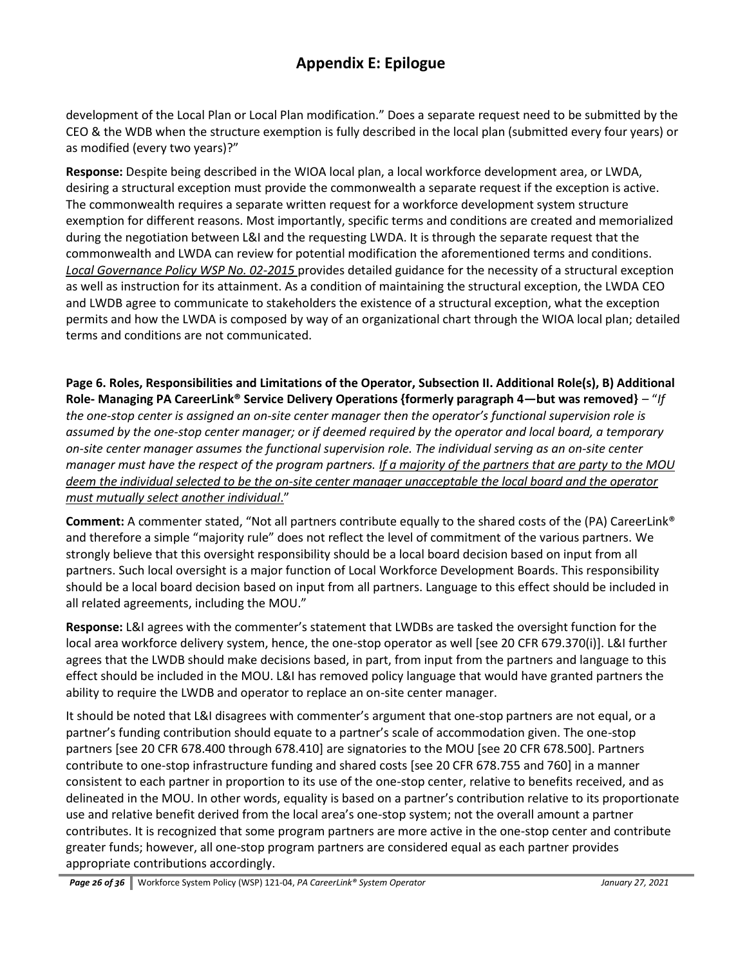development of the Local Plan or Local Plan modification." Does a separate request need to be submitted by the CEO & the WDB when the structure exemption is fully described in the local plan (submitted every four years) or as modified (every two years)?"

**Response:** Despite being described in the WIOA local plan, a local workforce development area, or LWDA, desiring a structural exception must provide the commonwealth a separate request if the exception is active. The commonwealth requires a separate written request for a workforce development system structure exemption for different reasons. Most importantly, specific terms and conditions are created and memorialized during the negotiation between L&I and the requesting LWDA. It is through the separate request that the commonwealth and LWDA can review for potential modification the aforementioned terms and conditions. *Local Governance Policy WSP No. 02-2015* provides detailed guidance for the necessity of a structural exception as well as instruction for its attainment. As a condition of maintaining the structural exception, the LWDA CEO and LWDB agree to communicate to stakeholders the existence of a structural exception, what the exception permits and how the LWDA is composed by way of an organizational chart through the WIOA local plan; detailed terms and conditions are not communicated.

**Page 6. Roles, Responsibilities and Limitations of the Operator, Subsection II. Additional Role(s), B) Additional Role- Managing PA CareerLink® Service Delivery Operations {formerly paragraph 4—but was removed}** – "*If the one-stop center is assigned an on-site center manager then the operator's functional supervision role is assumed by the one-stop center manager; or if deemed required by the operator and local board, a temporary on-site center manager assumes the functional supervision role. The individual serving as an on-site center manager must have the respect of the program partners. If a majority of the partners that are party to the MOU deem the individual selected to be the on-site center manager unacceptable the local board and the operator must mutually select another individual*."

**Comment:** A commenter stated, "Not all partners contribute equally to the shared costs of the (PA) CareerLink® and therefore a simple "majority rule" does not reflect the level of commitment of the various partners. We strongly believe that this oversight responsibility should be a local board decision based on input from all partners. Such local oversight is a major function of Local Workforce Development Boards. This responsibility should be a local board decision based on input from all partners. Language to this effect should be included in all related agreements, including the MOU."

**Response:** L&I agrees with the commenter's statement that LWDBs are tasked the oversight function for the local area workforce delivery system, hence, the one-stop operator as well [see 20 CFR 679.370(i)]. L&I further agrees that the LWDB should make decisions based, in part, from input from the partners and language to this effect should be included in the MOU. L&I has removed policy language that would have granted partners the ability to require the LWDB and operator to replace an on-site center manager.

It should be noted that L&I disagrees with commenter's argument that one-stop partners are not equal, or a partner's funding contribution should equate to a partner's scale of accommodation given. The one-stop partners [see 20 CFR 678.400 through 678.410] are signatories to the MOU [see 20 CFR 678.500]. Partners contribute to one-stop infrastructure funding and shared costs [see 20 CFR 678.755 and 760] in a manner consistent to each partner in proportion to its use of the one-stop center, relative to benefits received, and as delineated in the MOU. In other words, equality is based on a partner's contribution relative to its proportionate use and relative benefit derived from the local area's one-stop system; not the overall amount a partner contributes. It is recognized that some program partners are more active in the one-stop center and contribute greater funds; however, all one-stop program partners are considered equal as each partner provides appropriate contributions accordingly.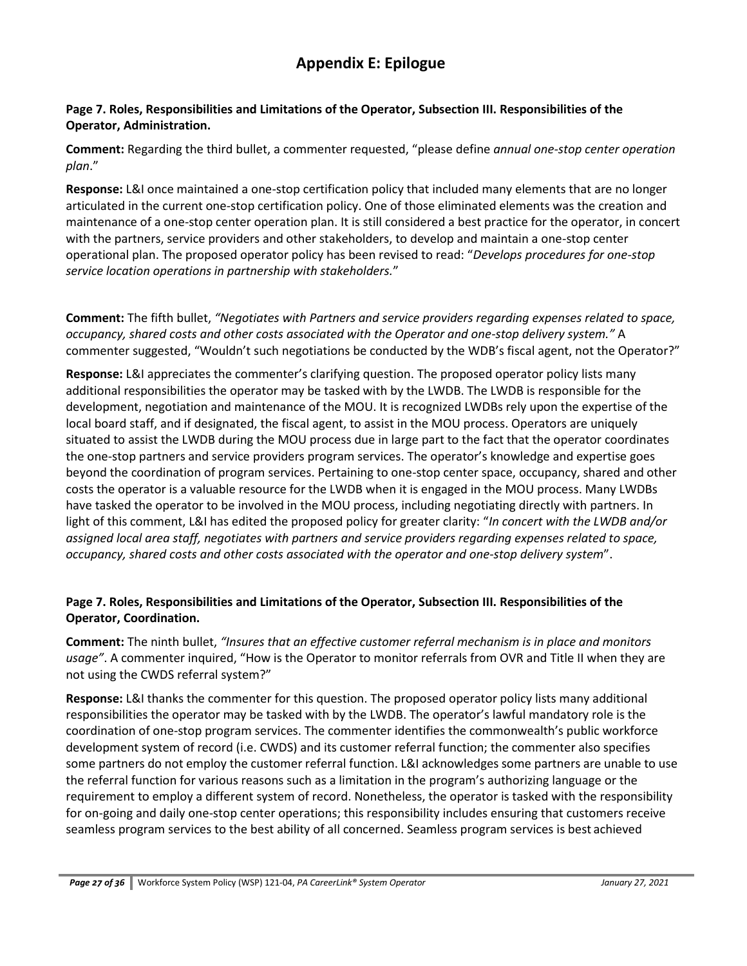#### **Page 7. Roles, Responsibilities and Limitations of the Operator, Subsection III. Responsibilities of the Operator, Administration.**

**Comment:** Regarding the third bullet, a commenter requested, "please define *annual one-stop center operation plan*."

**Response:** L&I once maintained a one-stop certification policy that included many elements that are no longer articulated in the current one-stop certification policy. One of those eliminated elements was the creation and maintenance of a one-stop center operation plan. It is still considered a best practice for the operator, in concert with the partners, service providers and other stakeholders, to develop and maintain a one-stop center operational plan. The proposed operator policy has been revised to read: "*Develops procedures for one-stop service location operations in partnership with stakeholders.*"

**Comment:** The fifth bullet, *"Negotiates with Partners and service providers regarding expenses related to space, occupancy, shared costs and other costs associated with the Operator and one-stop delivery system."* A commenter suggested, "Wouldn't such negotiations be conducted by the WDB's fiscal agent, not the Operator?"

**Response:** L&I appreciates the commenter's clarifying question. The proposed operator policy lists many additional responsibilities the operator may be tasked with by the LWDB. The LWDB is responsible for the development, negotiation and maintenance of the MOU. It is recognized LWDBs rely upon the expertise of the local board staff, and if designated, the fiscal agent, to assist in the MOU process. Operators are uniquely situated to assist the LWDB during the MOU process due in large part to the fact that the operator coordinates the one-stop partners and service providers program services. The operator's knowledge and expertise goes beyond the coordination of program services. Pertaining to one-stop center space, occupancy, shared and other costs the operator is a valuable resource for the LWDB when it is engaged in the MOU process. Many LWDBs have tasked the operator to be involved in the MOU process, including negotiating directly with partners. In light of this comment, L&I has edited the proposed policy for greater clarity: "*In concert with the LWDB and/or assigned local area staff, negotiates with partners and service providers regarding expenses related to space, occupancy, shared costs and other costs associated with the operator and one-stop delivery system*".

### **Page 7. Roles, Responsibilities and Limitations of the Operator, Subsection III. Responsibilities of the Operator, Coordination.**

**Comment:** The ninth bullet, *"Insures that an effective customer referral mechanism is in place and monitors usage"*. A commenter inquired, "How is the Operator to monitor referrals from OVR and Title II when they are not using the CWDS referral system?"

**Response:** L&I thanks the commenter for this question. The proposed operator policy lists many additional responsibilities the operator may be tasked with by the LWDB. The operator's lawful mandatory role is the coordination of one-stop program services. The commenter identifies the commonwealth's public workforce development system of record (i.e. CWDS) and its customer referral function; the commenter also specifies some partners do not employ the customer referral function. L&I acknowledges some partners are unable to use the referral function for various reasons such as a limitation in the program's authorizing language or the requirement to employ a different system of record. Nonetheless, the operator is tasked with the responsibility for on-going and daily one-stop center operations; this responsibility includes ensuring that customers receive seamless program services to the best ability of all concerned. Seamless program services is best achieved